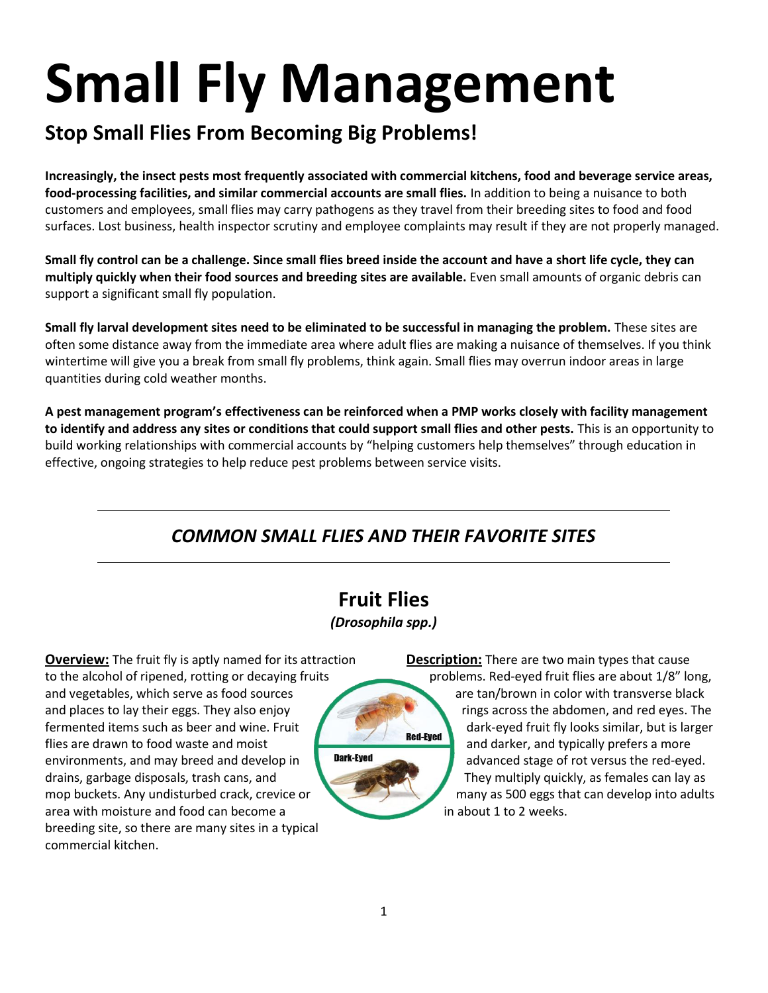# **Small Fly Management**

# **Stop Small Flies From Becoming Big Problems!**

**Increasingly, the insect pests most frequently associated with commercial kitchens, food and beverage service areas, food-processing facilities, and similar commercial accounts are small flies.** In addition to being a nuisance to both customers and employees, small flies may carry pathogens as they travel from their breeding sites to food and food surfaces. Lost business, health inspector scrutiny and employee complaints may result if they are not properly managed.

**Small fly control can be a challenge. Since small flies breed inside the account and have a short life cycle, they can multiply quickly when their food sources and breeding sites are available.** Even small amounts of organic debris can support a significant small fly population.

**Small fly larval development sites need to be eliminated to be successful in managing the problem.** These sites are often some distance away from the immediate area where adult flies are making a nuisance of themselves. If you think wintertime will give you a break from small fly problems, think again. Small flies may overrun indoor areas in large quantities during cold weather months.

**A pest management program's effectiveness can be reinforced when a PMP works closely with facility management to identify and address any sites or conditions that could support small flies and other pests.** This is an opportunity to build working relationships with commercial accounts by "helping customers help themselves" through education in effective, ongoing strategies to help reduce pest problems between service visits.

# *COMMON SMALL FLIES AND THEIR FAVORITE SITES*

# **Fruit Flies** *(Drosophila spp.)*

**Overview:** The fruit fly is aptly named for its attraction to the alcohol of ripened, rotting or decaying fruits and vegetables, which serve as food sources and places to lay their eggs. They also enjoy fermented items such as beer and wine. Fruit flies are drawn to food waste and moist **Dark-Eyed** environments, and may breed and develop in drains, garbage disposals, trash cans, and mop buckets. Any undisturbed crack, crevice or area with moisture and food can become a breeding site, so there are many sites in a typical commercial kitchen.

**Description:** There are two main types that cause problems. Red-eyed fruit flies are about 1/8" long, are tan/brown in color with transverse black rings across the abdomen, and red eyes. The dark-eyed fruit fly looks similar, but is larger **Red-Eved** and darker, and typically prefers a more advanced stage of rot versus the red-eyed. They multiply quickly, as females can lay as many as 500 eggs that can develop into adults in about 1 to 2 weeks.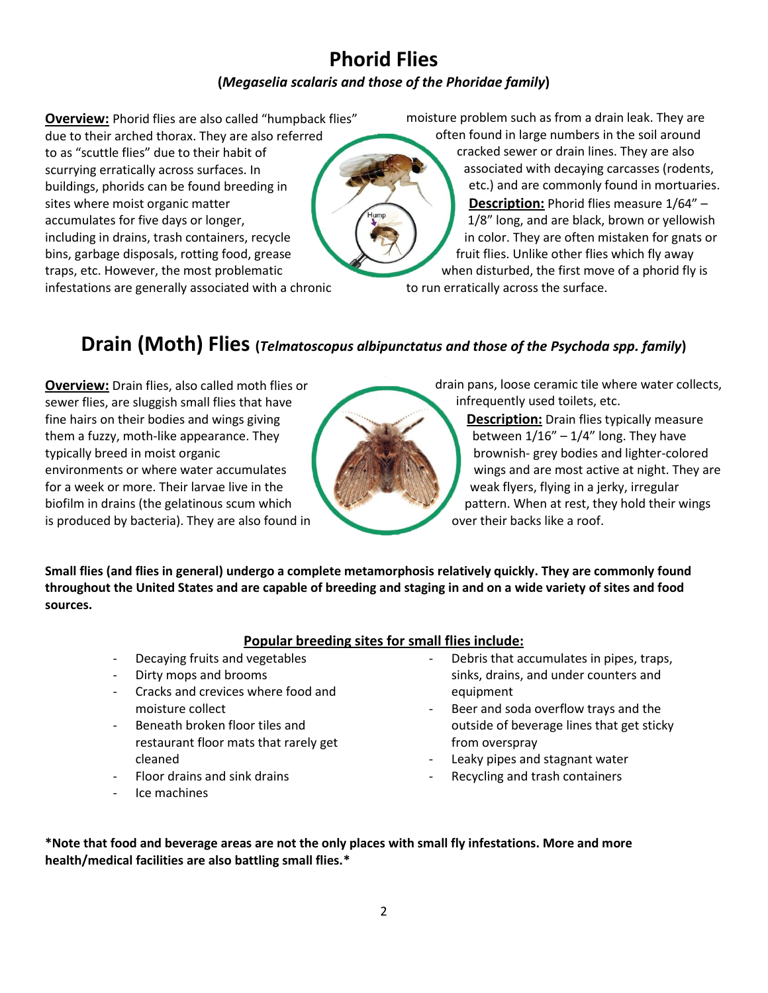## **Phorid Flies (***Megaselia scalaris and those of the Phoridae family***)**

**Overview:** Phorid flies are also called "humpback flies" due to their arched thorax. They are also referred to as "scuttle flies" due to their habit of scurrying erratically across surfaces. In buildings, phorids can be found breeding in sites where moist organic matter accumulates for five days or longer, including in drains, trash containers, recycle bins, garbage disposals, rotting food, grease traps, etc. However, the most problematic infestations are generally associated with a chronic

moisture problem such as from a drain leak. They are often found in large numbers in the soil around cracked sewer or drain lines. They are also associated with decaying carcasses (rodents, etc.) and are commonly found in mortuaries. **Description:** Phorid flies measure 1/64" – 1/8" long, and are black, brown or yellowish in color. They are often mistaken for gnats or fruit flies. Unlike other flies which fly away when disturbed, the first move of a phorid fly is

to run erratically across the surface.

# **Drain (Moth) Flies (***Telmatoscopus albipunctatus and those of the Psychoda spp. family***)**

**Overview:** Drain flies, also called moth flies or sewer flies, are sluggish small flies that have fine hairs on their bodies and wings giving them a fuzzy, moth-like appearance. They typically breed in moist organic environments or where water accumulates for a week or more. Their larvae live in the biofilm in drains (the gelatinous scum which is produced by bacteria). They are also found in drain pans, loose ceramic tile where water collects, infrequently used toilets, etc.

**Description:** Drain flies typically measure between  $1/16'' - 1/4''$  long. They have brownish- grey bodies and lighter-colored wings and are most active at night. They are weak flyers, flying in a jerky, irregular pattern. When at rest, they hold their wings over their backs like a roof.

**Small flies (and flies in general) undergo a complete metamorphosis relatively quickly. They are commonly found throughout the United States and are capable of breeding and staging in and on a wide variety of sites and food sources.**

#### **Popular breeding sites for small flies include:**

- Decaying fruits and vegetables
- Dirty mops and brooms
- Cracks and crevices where food and moisture collect
- Beneath broken floor tiles and restaurant floor mats that rarely get cleaned
- Floor drains and sink drains
- Ice machines
- Debris that accumulates in pipes, traps, sinks, drains, and under counters and equipment
- Beer and soda overflow trays and the outside of beverage lines that get sticky from overspray
- Leaky pipes and stagnant water
- Recycling and trash containers

**\*Note that food and beverage areas are not the only places with small fly infestations. More and more health/medical facilities are also battling small flies.\***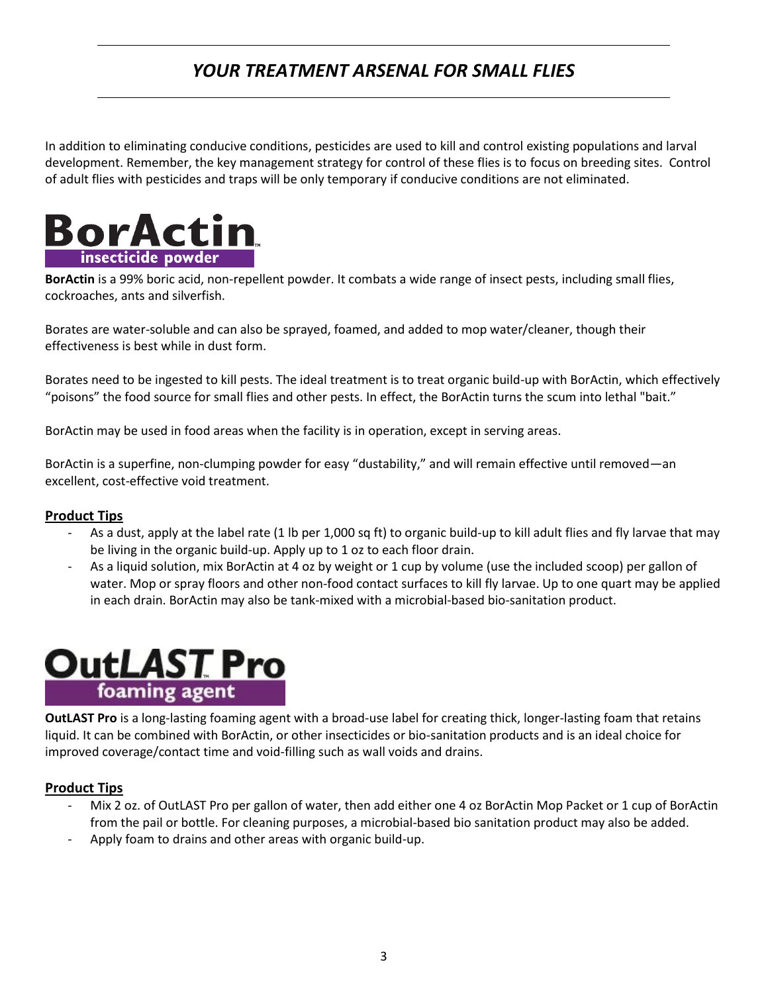# *YOUR TREATMENT ARSENAL FOR SMALL FLIES*

In addition to eliminating conducive conditions, pesticides are used to kill and control existing populations and larval development. Remember, the key management strategy for control of these flies is to focus on breeding sites. Control of adult flies with pesticides and traps will be only temporary if conducive conditions are not eliminated.



**BorActin** is a 99% boric acid, non-repellent powder. It combats a wide range of insect pests, including small flies, cockroaches, ants and silverfish.

Borates are water-soluble and can also be sprayed, foamed, and added to mop water/cleaner, though their effectiveness is best while in dust form.

Borates need to be ingested to kill pests. The ideal treatment is to treat organic build-up with BorActin, which effectively "poisons" the food source for small flies and other pests. In effect, the BorActin turns the scum into lethal "bait."

BorActin may be used in food areas when the facility is in operation, except in serving areas.

BorActin is a superfine, non-clumping powder for easy "dustability," and will remain effective until removed—an excellent, cost-effective void treatment.

#### **Product Tips**

- As a dust, apply at the label rate (1 lb per 1,000 sq ft) to organic build-up to kill adult flies and fly larvae that may be living in the organic build-up. Apply up to 1 oz to each floor drain.
- As a liquid solution, mix BorActin at 4 oz by weight or 1 cup by volume (use the included scoop) per gallon of water. Mop or spray floors and other non-food contact surfaces to kill fly larvae. Up to one quart may be applied in each drain. BorActin may also be tank-mixed with a microbial-based bio-sanitation product.



**OutLAST Pro** is a long-lasting foaming agent with a broad-use label for creating thick, longer-lasting foam that retains liquid. It can be combined with BorActin, or other insecticides or bio-sanitation products and is an ideal choice for improved coverage/contact time and void-filling such as wall voids and drains.

#### **Product Tips**

- Mix 2 oz. of OutLAST Pro per gallon of water, then add either one 4 oz BorActin Mop Packet or 1 cup of BorActin from the pail or bottle. For cleaning purposes, a microbial-based bio sanitation product may also be added.
- Apply foam to drains and other areas with organic build-up.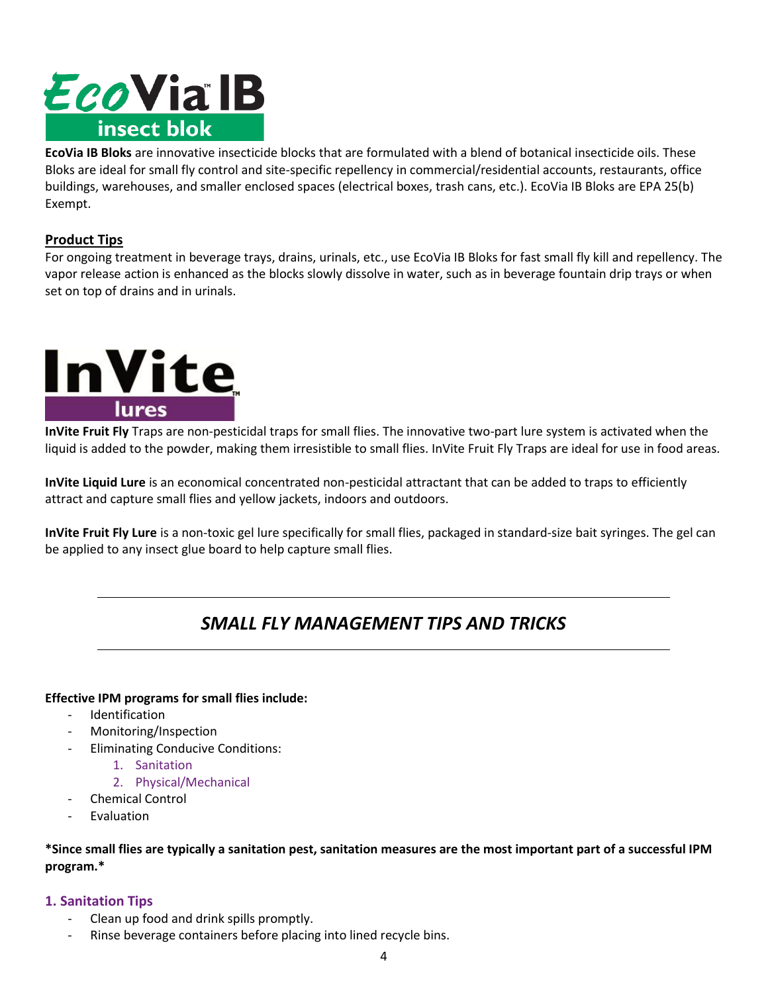# EcoVia IB insect blok

**EcoVia IB Bloks** are innovative insecticide blocks that are formulated with a blend of botanical insecticide oils. These Bloks are ideal for small fly control and site-specific repellency in commercial/residential accounts, restaurants, office buildings, warehouses, and smaller enclosed spaces (electrical boxes, trash cans, etc.). EcoVia IB Bloks are EPA 25(b) Exempt.

#### **Product Tips**

For ongoing treatment in beverage trays, drains, urinals, etc., use EcoVia IB Bloks for fast small fly kill and repellency. The vapor release action is enhanced as the blocks slowly dissolve in water, such as in beverage fountain drip trays or when set on top of drains and in urinals.



**InVite Fruit Fly** Traps are non-pesticidal traps for small flies. The innovative two-part lure system is activated when the liquid is added to the powder, making them irresistible to small flies. InVite Fruit Fly Traps are ideal for use in food areas.

**InVite Liquid Lure** is an economical concentrated non-pesticidal attractant that can be added to traps to efficiently attract and capture small flies and yellow jackets, indoors and outdoors.

**InVite Fruit Fly Lure** is a non-toxic gel lure specifically for small flies, packaged in standard-size bait syringes. The gel can be applied to any insect glue board to help capture small flies.

### *SMALL FLY MANAGEMENT TIPS AND TRICKS*

#### **Effective IPM programs for small flies include:**

- **Identification**
- Monitoring/Inspection
- Eliminating Conducive Conditions:
	- 1. Sanitation
	- 2. Physical/Mechanical
- Chemical Control
- **Fvaluation**

**\*Since small flies are typically a sanitation pest, sanitation measures are the most important part of a successful IPM program.\***

#### **1. Sanitation Tips**

- Clean up food and drink spills promptly.
- Rinse beverage containers before placing into lined recycle bins.